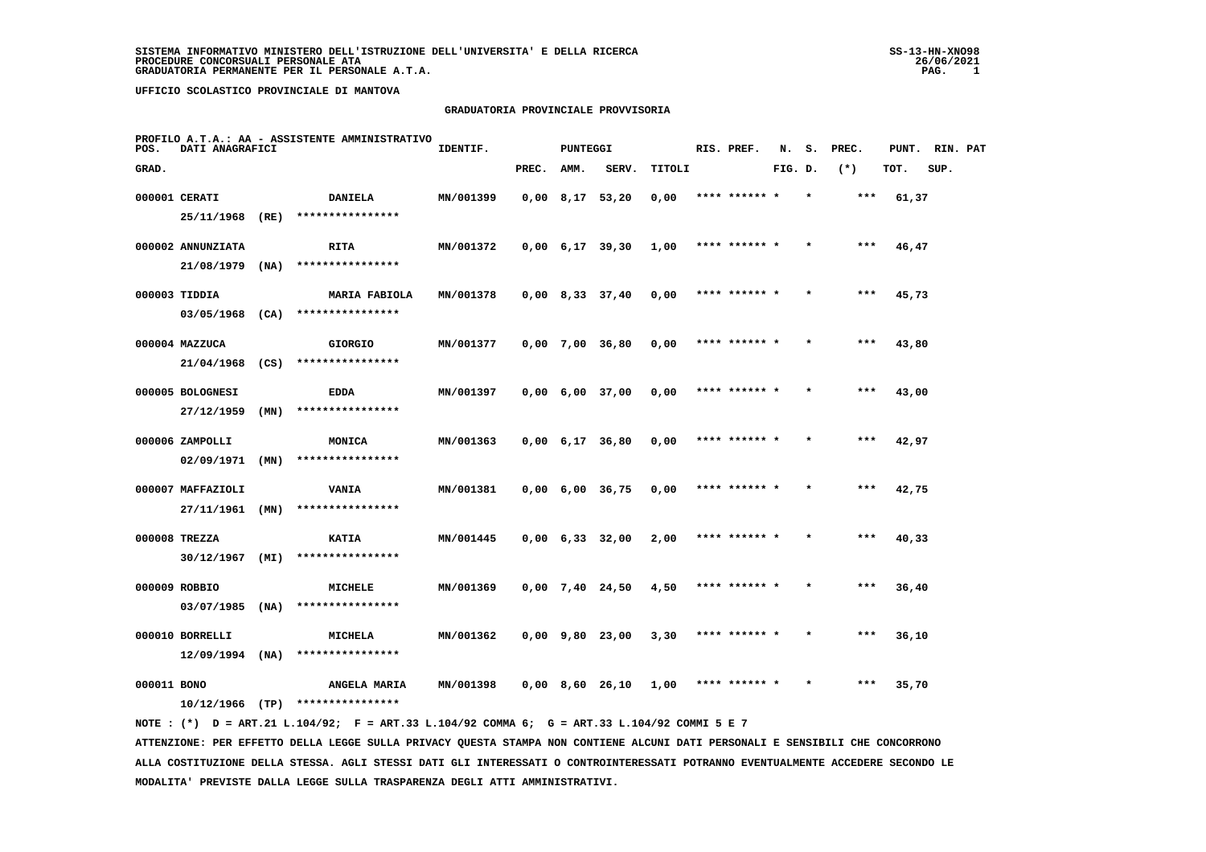#### **GRADUATORIA PROVINCIALE PROVVISORIA**

| POS.        | <b>DATI ANAGRAFICI</b> |      | PROFILO A.T.A.: AA - ASSISTENTE AMMINISTRATIVO                                                 | IDENTIF.  |            | <b>PUNTEGGI</b> |                                          |        | RIS. PREF.    |         |         | N. S. PREC. | PUNT. RIN. PAT |      |  |
|-------------|------------------------|------|------------------------------------------------------------------------------------------------|-----------|------------|-----------------|------------------------------------------|--------|---------------|---------|---------|-------------|----------------|------|--|
| GRAD.       |                        |      |                                                                                                |           | PREC. AMM. |                 | SERV.                                    | TITOLI |               | FIG. D. |         | $(*)$       | TOT.           | SUP. |  |
|             | 000001 CERATI          |      | <b>DANIELA</b>                                                                                 | MN/001399 |            |                 | $0,00$ 8,17 53,20                        | 0,00   | **** ****** * |         | $\star$ | $***$       | 61,37          |      |  |
|             |                        |      | 25/11/1968 (RE) ****************                                                               |           |            |                 |                                          |        |               |         |         |             |                |      |  |
|             | 000002 ANNUNZIATA      |      | <b>RITA</b>                                                                                    | MN/001372 |            |                 | $0,00 \quad 6,17 \quad 39,30 \quad 1,00$ |        | **** ****** * |         | $\star$ | $***$       | 46,47          |      |  |
|             | $21/08/1979$ (NA)      |      | ****************                                                                               |           |            |                 |                                          |        |               |         |         |             |                |      |  |
|             | 000003 TIDDIA          |      | MARIA FABIOLA                                                                                  | MN/001378 |            |                 | $0,00$ 8,33 37,40                        | 0,00   | **** ****** * |         | $\star$ | $***$       | 45,73          |      |  |
|             |                        |      | $03/05/1968$ (CA) ****************                                                             |           |            |                 |                                          |        |               |         |         |             |                |      |  |
|             | 000004 MAZZUCA         |      | <b>GIORGIO</b>                                                                                 | MN/001377 |            |                 | 0,00 7,00 36,80                          | 0,00   | **** ****** * |         |         | ***         | 43,80          |      |  |
|             | 21/04/1968 (CS)        |      | ****************                                                                               |           |            |                 |                                          |        |               |         |         |             |                |      |  |
|             | 000005 BOLOGNESI       |      | <b>EDDA</b>                                                                                    | MN/001397 |            |                 | $0,00 \quad 6,00 \quad 37,00$            | 0,00   | **** ****** * |         | $\star$ | ***         | 43,00          |      |  |
|             | 27/12/1959             | (MN) | ****************                                                                               |           |            |                 |                                          |        |               |         |         |             |                |      |  |
|             | 000006 ZAMPOLLI        |      | <b>MONICA</b>                                                                                  | MN/001363 |            |                 | $0,00 \quad 6,17 \quad 36,80$            | 0,00   | **** ****** * |         | $\star$ | ***         | 42,97          |      |  |
|             | $02/09/1971$ (MN)      |      | ****************                                                                               |           |            |                 |                                          |        |               |         |         |             |                |      |  |
|             | 000007 MAFFAZIOLI      |      | <b>VANIA</b>                                                                                   | MN/001381 |            |                 | $0,00 \quad 6,00 \quad 36,75$            | 0,00   | **** ****** * |         |         | $***$       | 42,75          |      |  |
|             |                        |      | 27/11/1961 (MN) ****************                                                               |           |            |                 |                                          |        |               |         |         |             |                |      |  |
|             | 000008 TREZZA          |      | <b>KATIA</b>                                                                                   | MN/001445 |            |                 | $0,00 \quad 6,33 \quad 32,00$            | 2,00   | **** ****** * |         |         | ***         | 40,33          |      |  |
|             |                        |      | $30/12/1967$ (MI) ****************                                                             |           |            |                 |                                          |        |               |         |         |             |                |      |  |
|             | 000009 ROBBIO          |      | MICHELE                                                                                        | MN/001369 |            |                 | 0,00 7,40 24,50                          | 4,50   | **** ****** * |         |         | ***         | 36,40          |      |  |
|             |                        |      | $03/07/1985$ (NA) ****************                                                             |           |            |                 |                                          |        |               |         |         |             |                |      |  |
|             | 000010 BORRELLI        |      | <b>MICHELA</b>                                                                                 | MN/001362 |            |                 | 0,00 9,80 23,00                          | 3,30   | **** ****** * |         |         | ***         | 36,10          |      |  |
|             |                        |      | $12/09/1994$ (NA) ****************                                                             |           |            |                 |                                          |        |               |         |         |             |                |      |  |
| 000011 BONO |                        |      | <b>ANGELA MARIA</b>                                                                            | MN/001398 |            |                 | 0,00 8,60 26,10                          | 1,00   | **** ****** * |         |         | ***         | 35,70          |      |  |
|             |                        |      | $10/12/1966$ (TP) *****************                                                            |           |            |                 |                                          |        |               |         |         |             |                |      |  |
|             |                        |      | NOTE : $(*)$ D = ART.21 L.104/92; F = ART.33 L.104/92 COMMA 6; G = ART.33 L.104/92 COMMI 5 E 7 |           |            |                 |                                          |        |               |         |         |             |                |      |  |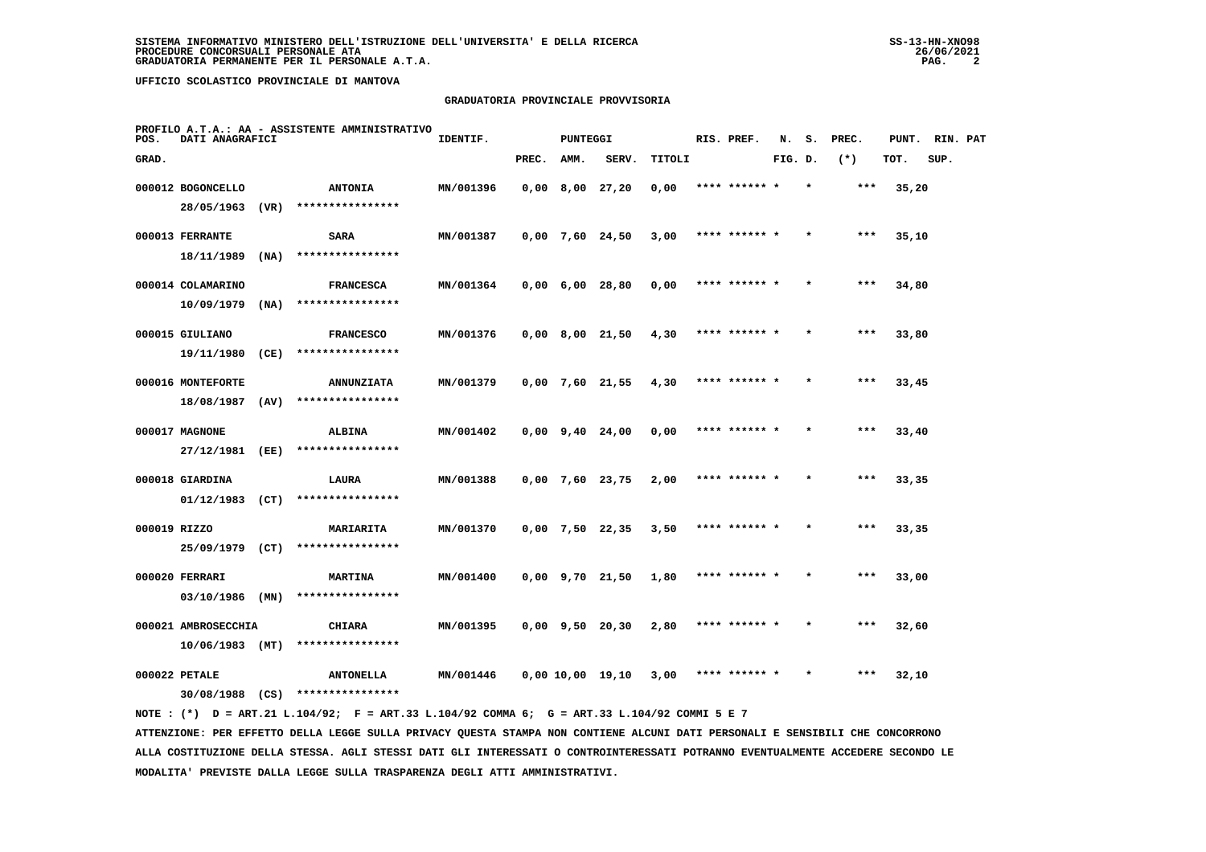# **GRADUATORIA PROVINCIALE PROVVISORIA**

| POS.         | DATI ANAGRAFICI     |      | PROFILO A.T.A.: AA - ASSISTENTE AMMINISTRATIVO | IDENTIF.  |       | PUNTEGGI                      |                       |        | RIS. PREF.    | N.      | s.      | PREC. | PUNT. | RIN. PAT |  |
|--------------|---------------------|------|------------------------------------------------|-----------|-------|-------------------------------|-----------------------|--------|---------------|---------|---------|-------|-------|----------|--|
| GRAD.        |                     |      |                                                |           | PREC. | AMM.                          | SERV.                 | TITOLI |               | FIG. D. |         | $(*)$ | TOT.  | SUP.     |  |
|              | 000012 BOGONCELLO   |      | <b>ANTONIA</b>                                 | MN/001396 |       | $0,00$ 8,00 27,20             |                       | 0,00   | **** ******   |         |         | $***$ | 35,20 |          |  |
|              | 28/05/1963          | (VR) | ****************                               |           |       |                               |                       |        |               |         |         |       |       |          |  |
|              | 000013 FERRANTE     |      | <b>SARA</b>                                    | MN/001387 |       |                               | $0,00$ 7,60 24,50     | 3,00   | **** ****** * |         |         | ***   | 35,10 |          |  |
|              | 18/11/1989          | (NA) | ****************                               |           |       |                               |                       |        |               |         |         |       |       |          |  |
|              | 000014 COLAMARINO   |      | <b>FRANCESCA</b>                               | MN/001364 |       | $0,00 \quad 6,00 \quad 28,80$ |                       | 0,00   | **** ****** * |         | $\star$ | $***$ | 34,80 |          |  |
|              | 10/09/1979          | (NA) | ****************                               |           |       |                               |                       |        |               |         |         |       |       |          |  |
|              | 000015 GIULIANO     |      | <b>FRANCESCO</b>                               | MN/001376 |       |                               | $0,00$ 8,00 21,50     | 4,30   | **** ****** * |         |         | $***$ | 33,80 |          |  |
|              | 19/11/1980          | (CE) | ****************                               |           |       |                               |                       |        |               |         |         |       |       |          |  |
|              | 000016 MONTEFORTE   |      | <b>ANNUNZIATA</b>                              | MN/001379 |       |                               | $0,00$ 7,60 21,55     | 4,30   | **** ****** * |         |         | $***$ | 33,45 |          |  |
|              | 18/08/1987          | (AV) | ****************                               |           |       |                               |                       |        |               |         |         |       |       |          |  |
|              | 000017 MAGNONE      |      | <b>ALBINA</b>                                  | MN/001402 |       |                               | $0,00$ $9,40$ $24,00$ | 0,00   | **** ****** * |         | $\star$ | $***$ | 33,40 |          |  |
|              | 27/12/1981          | (EE) | ****************                               |           |       |                               |                       |        |               |         |         |       |       |          |  |
|              | 000018 GIARDINA     |      | LAURA                                          | MN/001388 |       |                               | $0,00$ 7,60 23,75     | 2,00   | **** ******   |         |         | ***   | 33,35 |          |  |
|              | $01/12/1983$ (CT)   |      | ****************                               |           |       |                               |                       |        |               |         |         |       |       |          |  |
| 000019 RIZZO |                     |      | MARIARITA                                      | MN/001370 |       |                               | $0,00$ 7,50 22,35     | 3,50   | **** ****** * |         |         | $***$ | 33,35 |          |  |
|              | 25/09/1979          | (CT) | ****************                               |           |       |                               |                       |        |               |         |         |       |       |          |  |
|              | 000020 FERRARI      |      | <b>MARTINA</b>                                 | MN/001400 |       |                               | $0,00$ $9,70$ $21,50$ | 1,80   | **** ****** * |         | $\star$ | $***$ | 33,00 |          |  |
|              | 03/10/1986          | (MN) | ****************                               |           |       |                               |                       |        |               |         |         |       |       |          |  |
|              | 000021 AMBROSECCHIA |      | <b>CHIARA</b>                                  | MN/001395 |       |                               | $0,00$ $9,50$ $20,30$ | 2,80   | **** ****** * |         |         | $***$ | 32,60 |          |  |
|              | $10/06/1983$ (MT)   |      | ****************                               |           |       |                               |                       |        |               |         |         |       |       |          |  |
|              | 000022 PETALE       |      | <b>ANTONELLA</b>                               | MN/001446 |       |                               | 0.00 10.00 19.10      | 3,00   | **** ****** * |         |         | $***$ | 32,10 |          |  |
|              | 30/08/1988          | (CS) | ****************                               |           |       |                               |                       |        |               |         |         |       |       |          |  |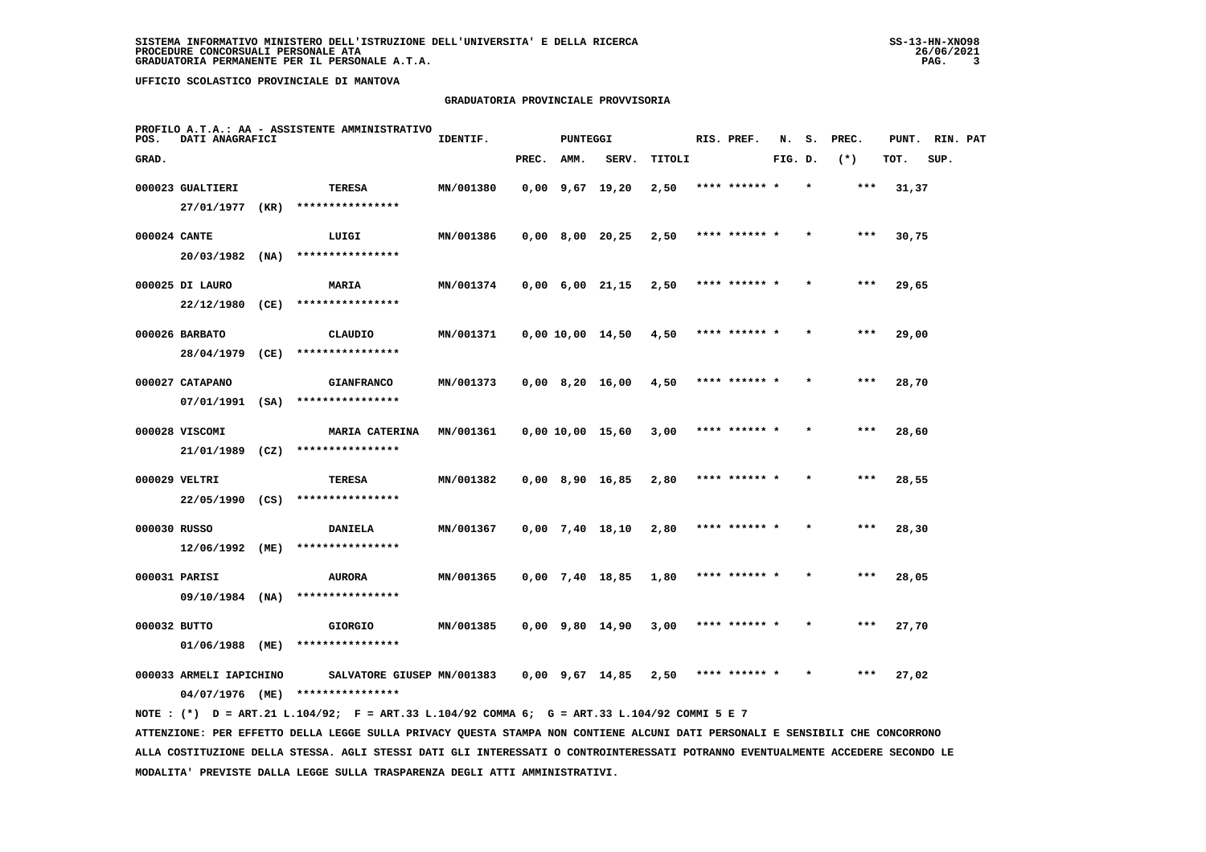# **GRADUATORIA PROVINCIALE PROVVISORIA**

| POS.         | DATI ANAGRAFICI         |      | PROFILO A.T.A.: AA - ASSISTENTE AMMINISTRATIVO                                              | IDENTIF.  |       | <b>PUNTEGGI</b> |                               |        | RIS. PREF.    | N.      | s.      | PREC. | PUNT. | RIN. PAT |  |
|--------------|-------------------------|------|---------------------------------------------------------------------------------------------|-----------|-------|-----------------|-------------------------------|--------|---------------|---------|---------|-------|-------|----------|--|
| GRAD.        |                         |      |                                                                                             |           | PREC. | AMM.            | SERV.                         | TITOLI |               | FIG. D. |         | $(*)$ | TOT.  | SUP.     |  |
|              | 000023 GUALTIERI        |      | TERESA                                                                                      | MN/001380 |       |                 | $0,00$ 9,67 19,20             | 2,50   | **** ****** * |         | $\star$ | ***   | 31,37 |          |  |
|              | 27/01/1977              | (KR) | ****************                                                                            |           |       |                 |                               |        |               |         |         |       |       |          |  |
| 000024 CANTE |                         |      | LUIGI                                                                                       | MN/001386 |       |                 | $0,00$ 8,00 20,25             | 2,50   | **** ****** * |         |         | ***   | 30,75 |          |  |
|              | 20/03/1982 (NA)         |      | ****************                                                                            |           |       |                 |                               |        |               |         |         |       |       |          |  |
|              | 000025 DI LAURO         |      | MARIA                                                                                       | MN/001374 |       |                 | $0,00 \quad 6,00 \quad 21,15$ | 2,50   | **** ****** * |         |         | $***$ | 29,65 |          |  |
|              | 22/12/1980              | (CE) | ****************                                                                            |           |       |                 |                               |        |               |         |         |       |       |          |  |
|              | 000026 BARBATO          |      | CLAUDIO                                                                                     | MN/001371 |       |                 | 0,00 10,00 14,50              | 4,50   | **** ******   |         |         | ***   | 29,00 |          |  |
|              | 28/04/1979 (CE)         |      | ****************                                                                            |           |       |                 |                               |        |               |         |         |       |       |          |  |
|              | 000027 CATAPANO         |      | <b>GIANFRANCO</b>                                                                           | MN/001373 |       |                 | $0,00$ 8,20 16,00             | 4,50   | **** ****** * |         |         | ***   | 28,70 |          |  |
|              |                         |      | 07/01/1991 (SA) ****************                                                            |           |       |                 |                               |        |               |         |         |       |       |          |  |
|              | 000028 VISCOMI          |      | <b>MARIA CATERINA</b>                                                                       | MN/001361 |       |                 | 0,00 10,00 15,60              | 3,00   | **** ****** * |         |         | $***$ | 28,60 |          |  |
|              | 21/01/1989              | (CZ) | ****************                                                                            |           |       |                 |                               |        |               |         |         |       |       |          |  |
|              | 000029 VELTRI           |      | <b>TERESA</b>                                                                               | MN/001382 |       |                 | $0,00$ 8,90 16,85             | 2,80   | **** ****** * |         |         | $***$ | 28,55 |          |  |
|              | 22/05/1990 (CS)         |      | ****************                                                                            |           |       |                 |                               |        |               |         |         |       |       |          |  |
| 000030 RUSSO |                         |      | <b>DANIELA</b>                                                                              | MN/001367 |       |                 | $0,00$ 7,40 18,10             | 2,80   | **** ****** * |         |         | $***$ | 28,30 |          |  |
|              | 12/06/1992              | (ME) | ****************                                                                            |           |       |                 |                               |        |               |         |         |       |       |          |  |
|              | 000031 PARISI           |      | <b>AURORA</b>                                                                               | MN/001365 |       |                 | $0,00$ 7,40 18,85             | 1,80   | **** ****** * |         |         | ***   | 28,05 |          |  |
|              | 09/10/1984 (NA)         |      | ****************                                                                            |           |       |                 |                               |        |               |         |         |       |       |          |  |
| 000032 BUTTO |                         |      | <b>GIORGIO</b>                                                                              | MN/001385 |       |                 | $0,00$ 9,80 14,90             | 3,00   | **** ****** * |         |         | $***$ | 27,70 |          |  |
|              | 01/06/1988 (ME)         |      | ****************                                                                            |           |       |                 |                               |        |               |         |         |       |       |          |  |
|              | 000033 ARMELI IAPICHINO |      | SALVATORE GIUSEP MN/001383                                                                  |           |       |                 | $0,00$ $9,67$ $14,85$         | 2,50   | **** ****** * |         |         | ***   | 27,02 |          |  |
|              | 04/07/1976 (ME)         |      | ****************                                                                            |           |       |                 |                               |        |               |         |         |       |       |          |  |
|              |                         |      | NOTE: (*) D = ART.21 L.104/92; F = ART.33 L.104/92 COMMA 6; G = ART.33 L.104/92 COMMI 5 E 7 |           |       |                 |                               |        |               |         |         |       |       |          |  |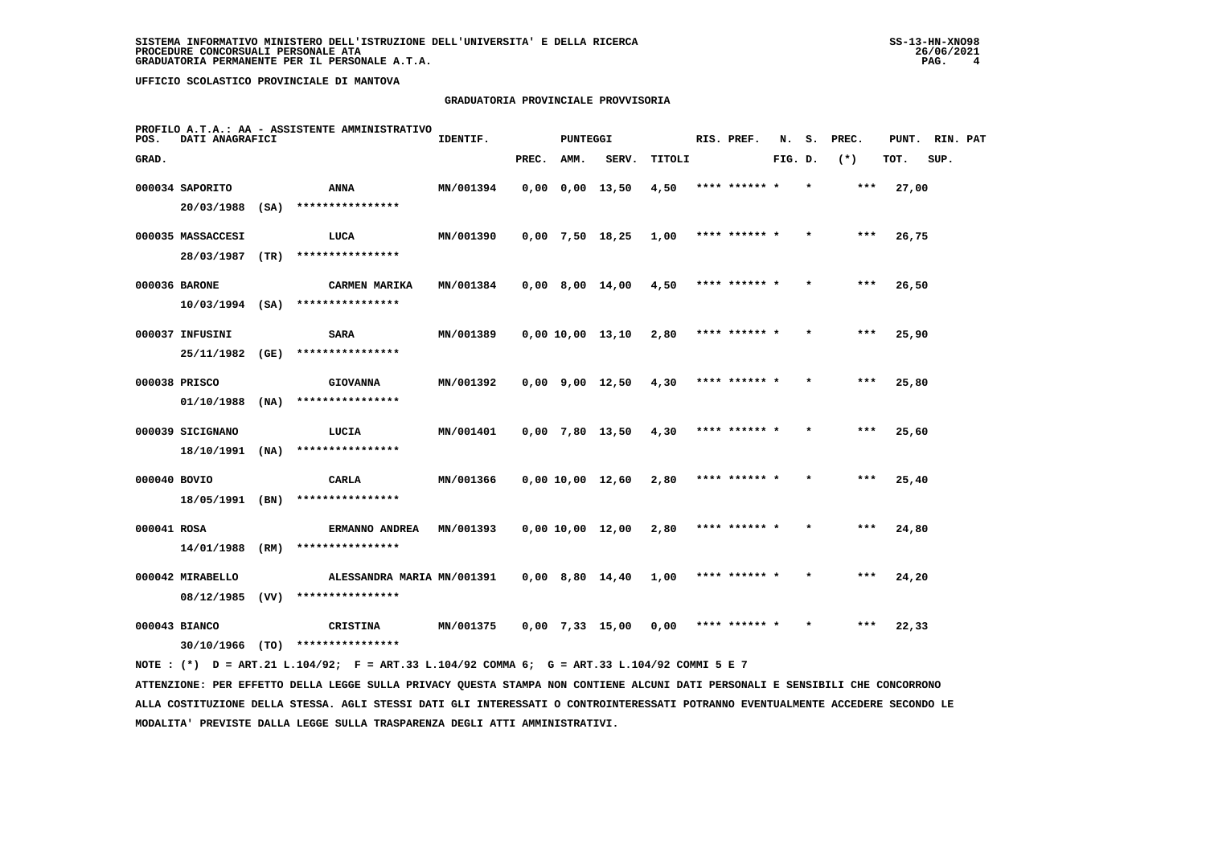# **GRADUATORIA PROVINCIALE PROVVISORIA**

| POS.         | DATI ANAGRAFICI   |      | PROFILO A.T.A.: AA - ASSISTENTE AMMINISTRATIVO                                                                                    | IDENTIF.         |       | PUNTEGGI    |                       |        | RIS. PREF.    |         |         | N. S. PREC. | PUNT. | RIN. PAT |  |
|--------------|-------------------|------|-----------------------------------------------------------------------------------------------------------------------------------|------------------|-------|-------------|-----------------------|--------|---------------|---------|---------|-------------|-------|----------|--|
| GRAD.        |                   |      |                                                                                                                                   |                  | PREC. | <b>AMM.</b> | SERV.                 | TITOLI |               | FIG. D. |         | $(*)$       | TOT.  | SUP.     |  |
|              | 000034 SAPORITO   |      | ANNA                                                                                                                              | MN/001394        |       |             | $0,00$ $0,00$ $13,50$ | 4,50   | **** ****** * |         |         | ***         | 27,00 |          |  |
|              | 20/03/1988 (SA)   |      | ****************                                                                                                                  |                  |       |             |                       |        |               |         |         |             |       |          |  |
|              | 000035 MASSACCESI |      | LUCA                                                                                                                              | MN/001390        |       |             | 0,00 7,50 18,25       | 1,00   | **** ****** * |         |         | $***$       | 26,75 |          |  |
|              | 28/03/1987 (TR)   |      | ****************                                                                                                                  |                  |       |             |                       |        |               |         |         |             |       |          |  |
|              | 000036 BARONE     |      | CARMEN MARIKA                                                                                                                     | MN/001384        |       |             | 0,00 8,00 14,00       | 4,50   | **** ****** * |         | $\star$ | ***         | 26,50 |          |  |
|              | $10/03/1994$ (SA) |      | ****************                                                                                                                  |                  |       |             |                       |        |               |         |         |             |       |          |  |
|              | 000037 INFUSINI   |      | <b>SARA</b>                                                                                                                       | MN/001389        |       |             | 0,00 10,00 13,10      | 2,80   | **** ****** * |         |         | ***         | 25,90 |          |  |
|              | 25/11/1982        | (GE) | ****************                                                                                                                  |                  |       |             |                       |        |               |         |         |             |       |          |  |
|              | 000038 PRISCO     |      | <b>GIOVANNA</b>                                                                                                                   | MN/001392        |       |             | 0,00 9,00 12,50       | 4,30   | **** ****** * |         |         | ***         | 25,80 |          |  |
|              | 01/10/1988        | (NA) | ****************                                                                                                                  |                  |       |             |                       |        |               |         |         |             |       |          |  |
|              | 000039 SICIGNANO  |      | LUCIA                                                                                                                             | MN/001401        |       |             | 0,00 7,80 13,50       | 4,30   | **** ****** * |         |         | $***$       | 25,60 |          |  |
|              | $18/10/1991$ (NA) |      | ****************                                                                                                                  |                  |       |             |                       |        |               |         |         |             |       |          |  |
| 000040 BOVIO |                   |      | CARLA                                                                                                                             | MN/001366        |       |             | 0,00 10,00 12,60      | 2,80   | **** ****** * |         |         | $***$       | 25,40 |          |  |
|              | 18/05/1991 (BN)   |      | ****************                                                                                                                  |                  |       |             |                       |        |               |         |         |             |       |          |  |
| 000041 ROSA  |                   |      | ERMANNO ANDREA                                                                                                                    | <b>MN/001393</b> |       |             | 0,00 10,00 12,00      | 2,80   | **** ****** * |         |         | ***         | 24,80 |          |  |
|              | 14/01/1988 (RM)   |      | ****************                                                                                                                  |                  |       |             |                       |        |               |         |         |             |       |          |  |
|              | 000042 MIRABELLO  |      | ALESSANDRA MARIA MN/001391                                                                                                        |                  |       |             | 0,00 8,80 14,40       | 1,00   | **** ****** * |         |         | ***         | 24,20 |          |  |
|              |                   |      | 08/12/1985 (VV) ****************                                                                                                  |                  |       |             |                       |        |               |         |         |             |       |          |  |
|              | 000043 BIANCO     |      | CRISTINA                                                                                                                          | <b>MN/001375</b> |       |             | 0,00 7,33 15,00       | 0,00   | **** ****** * |         | $\star$ | ***         | 22,33 |          |  |
|              |                   |      | $30/10/1966$ (TO) ****************<br>NOTE: (*) D = ART.21 L.104/92; F = ART.33 L.104/92 COMMA 6; G = ART.33 L.104/92 COMMI 5 E 7 |                  |       |             |                       |        |               |         |         |             |       |          |  |
|              |                   |      |                                                                                                                                   |                  |       |             |                       |        |               |         |         |             |       |          |  |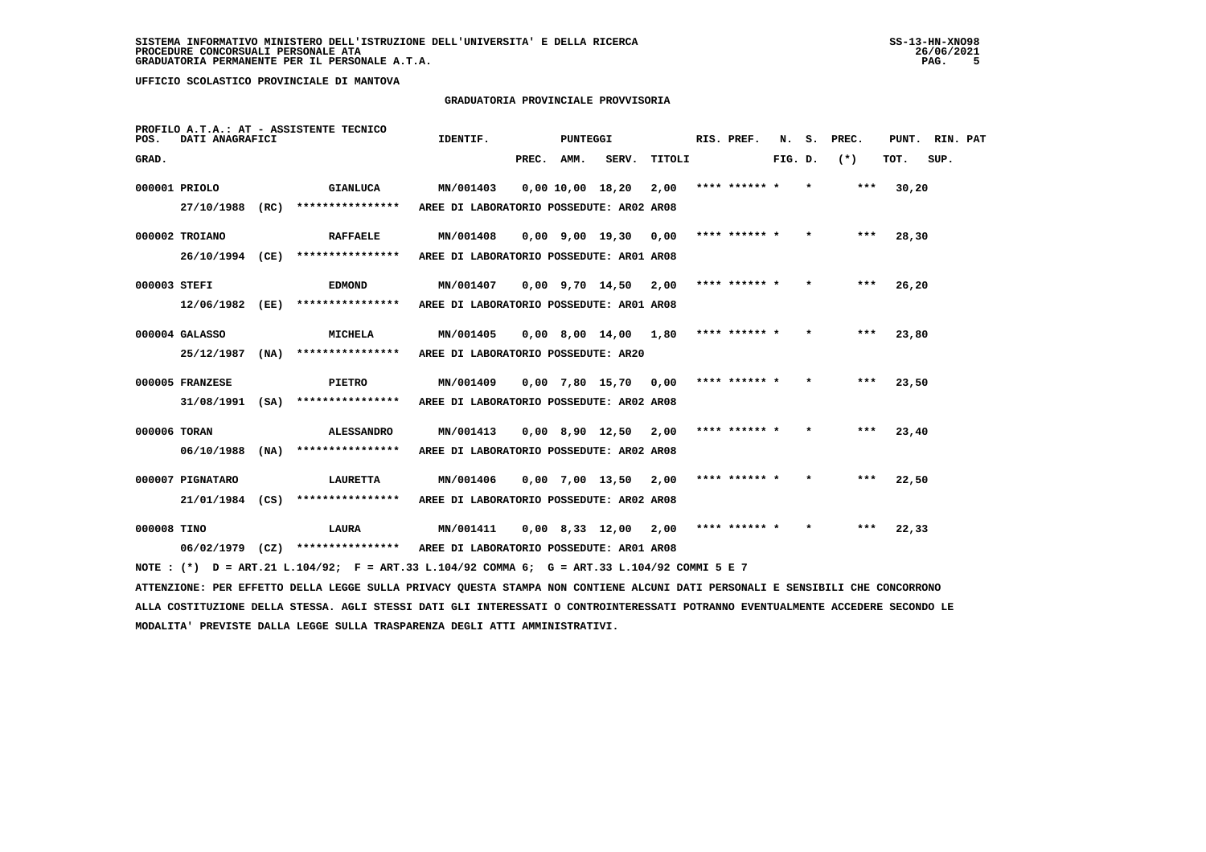# **GRADUATORIA PROVINCIALE PROVVISORIA**

| POS.         | DATI ANAGRAFICI   |      | PROFILO A.T.A.: AT - ASSISTENTE TECNICO                                                     | IDENTIF.                                 |            | <b>PUNTEGGI</b> |                                          |        | RIS. PREF.    | N.      | s.      | PREC. | PUNT. RIN. PAT |      |  |
|--------------|-------------------|------|---------------------------------------------------------------------------------------------|------------------------------------------|------------|-----------------|------------------------------------------|--------|---------------|---------|---------|-------|----------------|------|--|
| GRAD.        |                   |      |                                                                                             |                                          | PREC. AMM. |                 | SERV.                                    | TITOLI |               | FIG. D. |         | $(*)$ | TOT.           | SUP. |  |
|              | 000001 PRIOLO     |      | <b>GIANLUCA</b>                                                                             | MN/001403                                |            |                 | 0,00 10,00 18,20                         | 2,00   | **** ****** * |         | $\star$ | ***   | 30,20          |      |  |
|              | 27/10/1988 (RC)   |      | ****************                                                                            | AREE DI LABORATORIO POSSEDUTE: AR02 AR08 |            |                 |                                          |        |               |         |         |       |                |      |  |
|              | 000002 TROIANO    |      | <b>RAFFAELE</b>                                                                             | MN/001408                                |            |                 | 0,00 9,00 19,30                          | 0,00   | **** ****** * |         | $\star$ | ***   | 28,30          |      |  |
|              | 26/10/1994 (CE)   |      | ****************                                                                            | AREE DI LABORATORIO POSSEDUTE: AR01 AR08 |            |                 |                                          |        |               |         |         |       |                |      |  |
| 000003 STEFI |                   |      | <b>EDMOND</b>                                                                               | MN/001407                                |            |                 | $0,00$ 9,70 14,50 2,00                   |        | **** ****** * |         | $\star$ | ***   | 26,20          |      |  |
|              | 12/06/1982        | (EE) | ****************                                                                            | AREE DI LABORATORIO POSSEDUTE: AR01 AR08 |            |                 |                                          |        |               |         |         |       |                |      |  |
|              | 000004 GALASSO    |      | MICHELA                                                                                     | MN/001405                                |            |                 | $0,00$ 8,00 14,00 1,80                   |        | **** ****** * |         | $\star$ | $***$ | 23,80          |      |  |
|              | 25/12/1987        | (NA) | ****************                                                                            | AREE DI LABORATORIO POSSEDUTE: AR20      |            |                 |                                          |        |               |         |         |       |                |      |  |
|              | 000005 FRANZESE   |      | <b>PIETRO</b>                                                                               | MN/001409                                |            |                 | $0,00$ 7,80 15,70 0,00                   |        | **** ****** * |         | $\star$ | ***   | 23,50          |      |  |
|              | 31/08/1991        |      | $(SA)$ *****************                                                                    | AREE DI LABORATORIO POSSEDUTE: AR02 AR08 |            |                 |                                          |        |               |         |         |       |                |      |  |
| 000006 TORAN |                   |      | <b>ALESSANDRO</b>                                                                           | MN/001413                                |            |                 | 0,00 8,90 12,50                          | 2,00   | **** ****** * |         | $\star$ | $***$ | 23,40          |      |  |
|              | 06/10/1988        | (NA) | ****************                                                                            | AREE DI LABORATORIO POSSEDUTE: AR02 AR08 |            |                 |                                          |        |               |         |         |       |                |      |  |
|              | 000007 PIGNATARO  |      | <b>LAURETTA</b>                                                                             | MN/001406                                |            |                 | $0,00$ 7,00 13,50 2,00                   |        | **** ****** * |         | $\star$ | ***   | 22,50          |      |  |
|              | 21/01/1984 (CS)   |      | ****************                                                                            | AREE DI LABORATORIO POSSEDUTE: AR02 AR08 |            |                 |                                          |        |               |         |         |       |                |      |  |
| 000008 TINO  |                   |      | LAURA                                                                                       | MN/001411                                |            |                 | $0.00 \quad 8.33 \quad 12.00 \quad 2.00$ |        | **** ****** * |         | $\star$ | ***   | 22,33          |      |  |
|              | $06/02/1979$ (CZ) |      | ****************                                                                            | AREE DI LABORATORIO POSSEDUTE: AR01 AR08 |            |                 |                                          |        |               |         |         |       |                |      |  |
|              |                   |      | NOTE: (*) D = ART.21 L.104/92; F = ART.33 L.104/92 COMMA 6; G = ART.33 L.104/92 COMMI 5 E 7 |                                          |            |                 |                                          |        |               |         |         |       |                |      |  |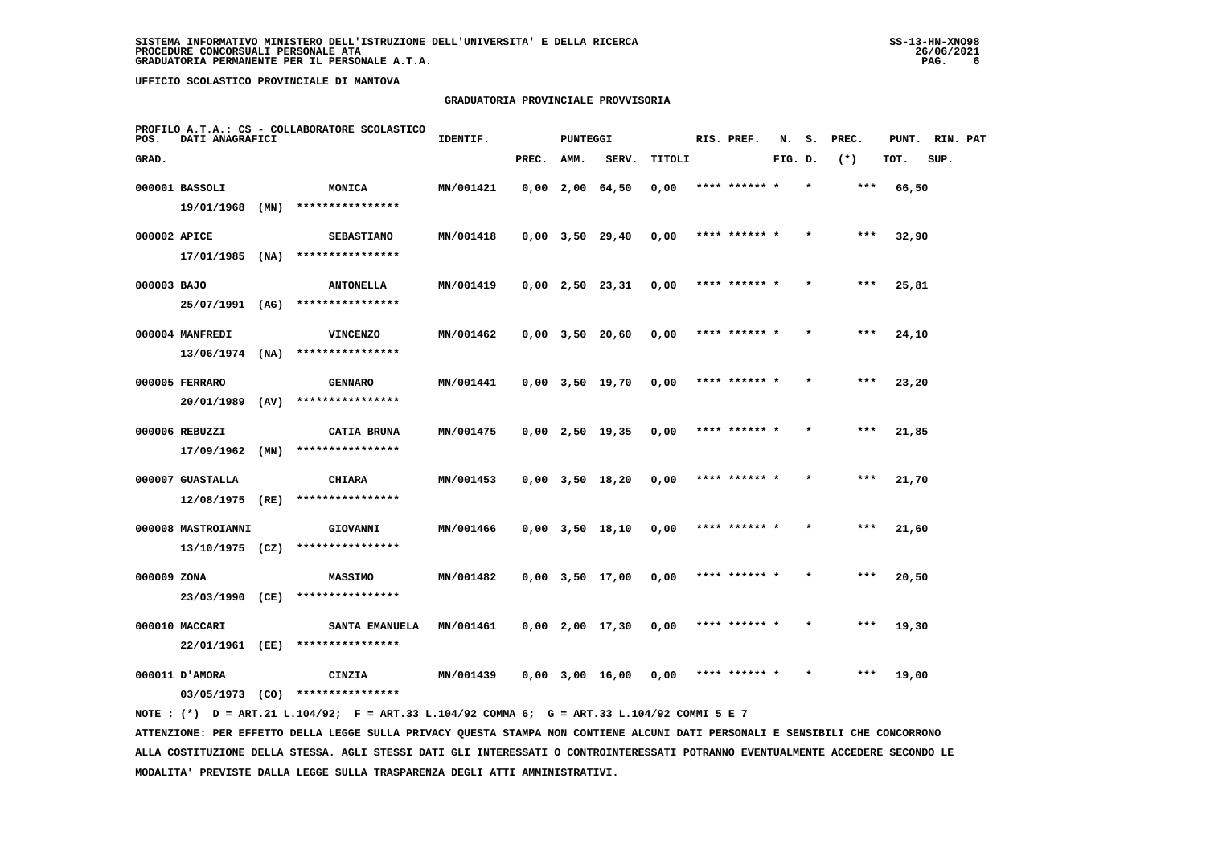# **GRADUATORIA PROVINCIALE PROVVISORIA**

| POS.         | DATI ANAGRAFICI              |      | PROFILO A.T.A.: CS - COLLABORATORE SCOLASTICO | IDENTIF.  |       | <b>PUNTEGGI</b> |                       |        | RIS. PREF.    | N.      | s.      | PREC. | PUNT. | RIN. PAT |  |
|--------------|------------------------------|------|-----------------------------------------------|-----------|-------|-----------------|-----------------------|--------|---------------|---------|---------|-------|-------|----------|--|
| GRAD.        |                              |      |                                               |           | PREC. | AMM.            | SERV.                 | TITOLI |               | FIG. D. |         | $(*)$ | TOT.  | SUP.     |  |
|              | 000001 BASSOLI               |      | MONICA                                        | MN/001421 |       |                 | $0,00$ 2,00 64,50     | 0,00   | **** ****** * |         | $\star$ | $***$ | 66,50 |          |  |
|              | 19/01/1968                   | (MN) | ****************                              |           |       |                 |                       |        |               |         |         |       |       |          |  |
| 000002 APICE |                              |      | <b>SEBASTIANO</b>                             | MN/001418 |       |                 | $0,00$ $3,50$ $29,40$ | 0,00   | **** ****** * |         |         | ***   | 32,90 |          |  |
|              | $17/01/1985$ (NA)            |      | ****************                              |           |       |                 |                       |        |               |         |         |       |       |          |  |
| 000003 BAJO  |                              |      | <b>ANTONELLA</b>                              | MN/001419 |       |                 | $0,00$ 2,50 23,31     | 0,00   | **** ****** * |         |         | $***$ | 25,81 |          |  |
|              | 25/07/1991                   | (AG) | ****************                              |           |       |                 |                       |        |               |         |         |       |       |          |  |
|              | 000004 MANFREDI              |      | <b>VINCENZO</b>                               | MN/001462 |       |                 | $0,00$ 3,50 20,60     | 0,00   | **** ****** * |         |         | $***$ | 24,10 |          |  |
|              | $13/06/1974$ (NA)            |      | ****************                              |           |       |                 |                       |        |               |         |         |       |       |          |  |
|              | 000005 FERRARO               |      | <b>GENNARO</b>                                | MN/001441 |       |                 | $0,00$ $3,50$ $19,70$ | 0,00   | **** ****** * |         |         | $***$ | 23,20 |          |  |
|              | 20/01/1989                   | (AV) | ****************                              |           |       |                 |                       |        |               |         |         |       |       |          |  |
|              | 000006 REBUZZI               |      | CATIA BRUNA                                   | MN/001475 |       |                 | $0,00$ 2,50 19,35     | 0,00   | **** ****** * |         |         | ***   | 21,85 |          |  |
|              | 17/09/1962                   | (MN) | ****************                              |           |       |                 |                       |        |               |         |         |       |       |          |  |
|              | 000007 GUASTALLA             |      | <b>CHIARA</b>                                 | MN/001453 |       |                 | $0,00$ $3,50$ $18,20$ | 0,00   | **** ******   |         |         | ***   | 21,70 |          |  |
|              | 12/08/1975                   | (RE) | ****************                              |           |       |                 |                       |        |               |         |         |       |       |          |  |
|              | 000008 MASTROIANNI           |      | GIOVANNI                                      | MN/001466 |       |                 | $0,00$ $3,50$ $18,10$ | 0,00   | **** ****** * |         |         | $***$ | 21,60 |          |  |
|              | $13/10/1975$ (CZ)            |      | ****************                              |           |       |                 |                       |        |               |         |         |       |       |          |  |
| 000009 ZONA  |                              |      | <b>MASSIMO</b>                                | MN/001482 |       |                 | $0,00$ $3,50$ $17,00$ | 0,00   | **** ****** * |         | $\star$ | ***   | 20,50 |          |  |
|              | 23/03/1990 (CE)              |      | ****************                              |           |       |                 |                       |        |               |         |         |       |       |          |  |
|              | 000010 MACCARI               |      | SANTA EMANUELA<br>****************            | MN/001461 |       |                 | $0,00$ 2,00 17,30     | 0,00   | **** ****** * |         |         | ***   | 19,30 |          |  |
|              | 22/01/1961 (EE)              |      |                                               |           |       |                 |                       |        |               |         |         |       |       |          |  |
|              | 000011 D'AMORA<br>03/05/1973 | (CO) | CINZIA<br>****************                    | MN/001439 |       |                 | $0,00$ 3,00 16,00     | 0.00   | **** ****** * |         |         | $***$ | 19,00 |          |  |
|              |                              |      |                                               |           |       |                 |                       |        |               |         |         |       |       |          |  |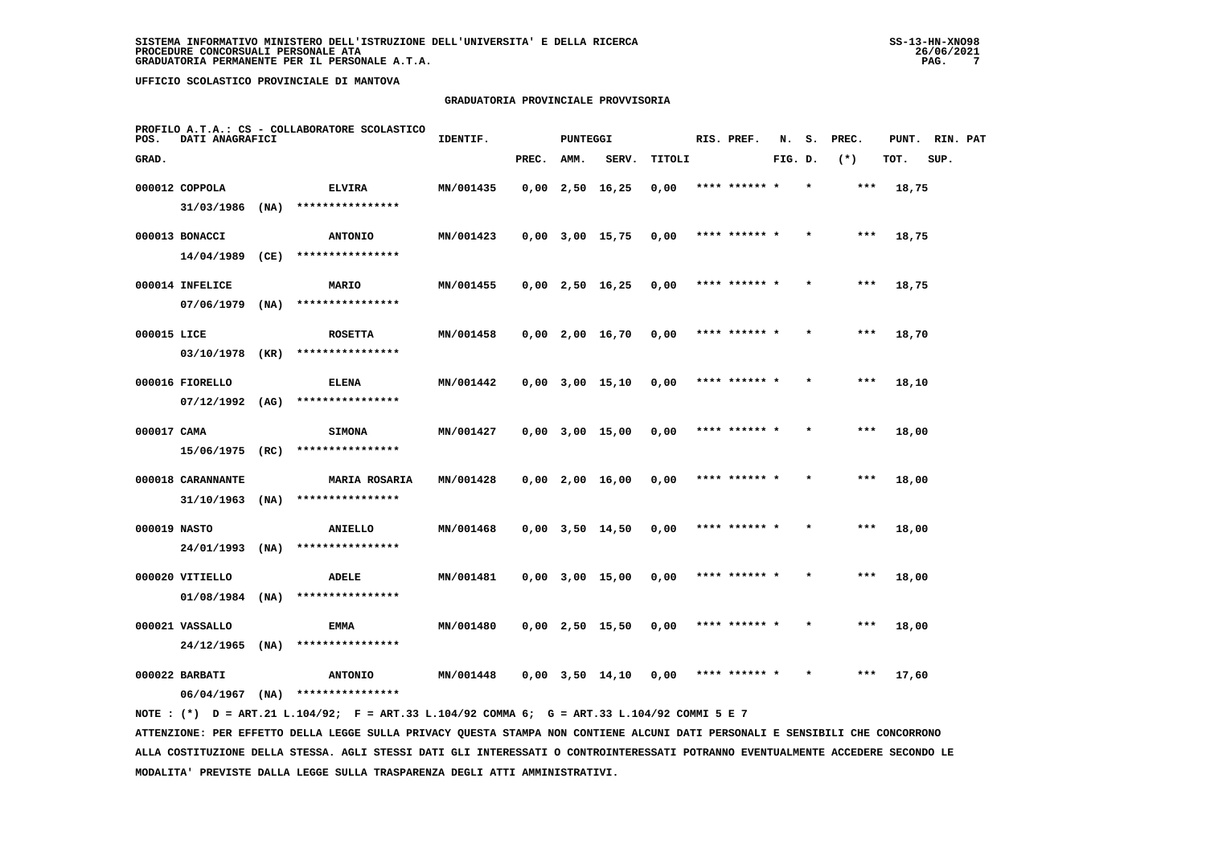# **GRADUATORIA PROVINCIALE PROVVISORIA**

| POS.         | DATI ANAGRAFICI                 |      | PROFILO A.T.A.: CS - COLLABORATORE SCOLASTICO | IDENTIF.  |       | <b>PUNTEGGI</b> |                       |        | RIS. PREF.    | N.      | s.      | PREC. | PUNT. | RIN. PAT |  |
|--------------|---------------------------------|------|-----------------------------------------------|-----------|-------|-----------------|-----------------------|--------|---------------|---------|---------|-------|-------|----------|--|
| GRAD.        |                                 |      |                                               |           | PREC. | AMM.            | SERV.                 | TITOLI |               | FIG. D. |         | $(*)$ | TOT.  | SUP.     |  |
|              | 000012 COPPOLA                  |      | <b>ELVIRA</b>                                 | MN/001435 |       |                 | $0,00$ 2,50 16,25     | 0,00   | **** ****** * |         |         | ***   | 18,75 |          |  |
|              | 31/03/1986                      | (MA) | ****************                              |           |       |                 |                       |        |               |         |         |       |       |          |  |
|              | 000013 BONACCI                  |      | <b>ANTONIO</b>                                | MN/001423 |       |                 | $0,00$ $3,00$ $15,75$ | 0,00   | **** ****** * |         |         | $***$ | 18,75 |          |  |
|              | 14/04/1989                      | (CE) | ****************                              |           |       |                 |                       |        |               |         |         |       |       |          |  |
|              | 000014 INFELICE                 |      | MARIO                                         | MN/001455 |       |                 | $0,00$ 2,50 16,25     | 0,00   | **** ****** * |         |         | ***   | 18,75 |          |  |
|              | 07/06/1979                      | (NA) | ****************                              |           |       |                 |                       |        |               |         |         |       |       |          |  |
| 000015 LICE  |                                 |      | <b>ROSETTA</b>                                | MN/001458 |       |                 | $0,00$ 2,00 16,70     | 0,00   | **** ****** * |         | $\star$ | $***$ | 18,70 |          |  |
|              | 03/10/1978                      | (KR) | ****************                              |           |       |                 |                       |        |               |         |         |       |       |          |  |
|              | 000016 FIORELLO                 |      | <b>ELENA</b>                                  | MN/001442 |       |                 | $0,00$ $3,00$ $15,10$ | 0,00   | **** ****** * |         |         | $***$ | 18,10 |          |  |
|              | $07/12/1992$ (AG)               |      | ****************                              |           |       |                 |                       |        |               |         |         |       |       |          |  |
| 000017 CAMA  |                                 |      | <b>SIMONA</b><br>****************             | MN/001427 |       |                 | $0,00$ $3,00$ $15,00$ | 0,00   | **** ****** * |         |         | $***$ | 18,00 |          |  |
|              | 15/06/1975 (RC)                 |      |                                               |           |       |                 |                       |        |               |         |         |       |       |          |  |
|              | 000018 CARANNANTE<br>31/10/1963 | (NA) | <b>MARIA ROSARIA</b><br>****************      | MN/001428 |       |                 | $0,00$ 2,00 16,00     | 0,00   | **** ****** * |         |         | $***$ | 18,00 |          |  |
|              |                                 |      |                                               |           |       |                 |                       |        |               |         |         |       |       |          |  |
| 000019 NASTO | 24/01/1993                      | (MA) | ANIELLO<br>****************                   | MN/001468 |       |                 | $0,00$ $3,50$ $14,50$ | 0,00   | **** ****** * |         |         | ***   | 18,00 |          |  |
|              | 000020 VITIELLO                 |      | <b>ADELE</b>                                  | MN/001481 |       |                 | $0,00$ $3,00$ $15,00$ | 0,00   |               |         |         | ***   |       |          |  |
|              | 01/08/1984                      | (NA) | ****************                              |           |       |                 |                       |        |               |         |         |       | 18,00 |          |  |
|              | 000021 VASSALLO                 |      | EMMA                                          | MN/001480 |       |                 | $0,00$ 2,50 15,50     | 0,00   | **** ****** * |         |         | ***   | 18,00 |          |  |
|              | 24/12/1965                      | (NA) | ****************                              |           |       |                 |                       |        |               |         |         |       |       |          |  |
|              | 000022 BARBATI                  |      | <b>ANTONIO</b>                                | MN/001448 |       |                 | $0,00$ $3,50$ $14,10$ | 0,00   | **** ****** * |         | $\star$ | ***   | 17,60 |          |  |
|              | 06/04/1967                      | (NA) | ****************                              |           |       |                 |                       |        |               |         |         |       |       |          |  |
|              |                                 |      |                                               |           |       |                 |                       |        |               |         |         |       |       |          |  |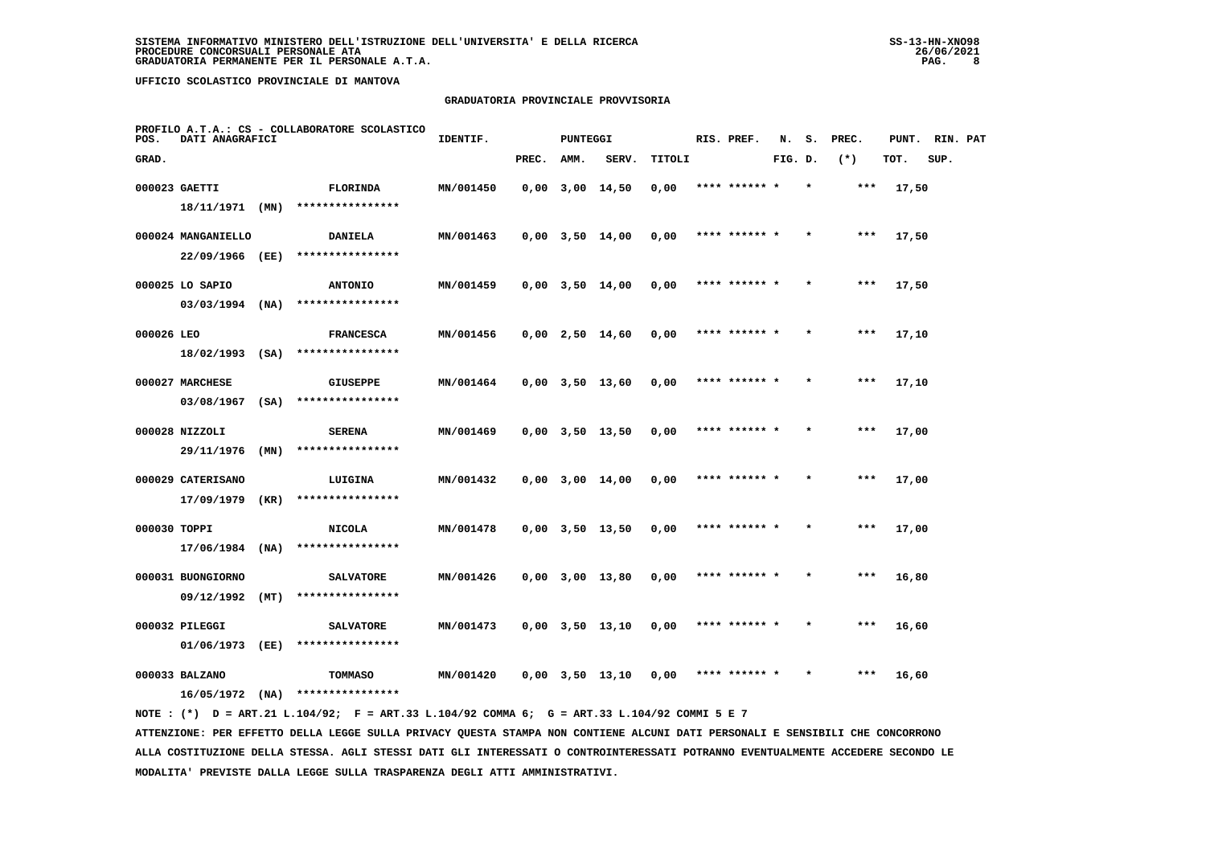# **GRADUATORIA PROVINCIALE PROVVISORIA**

| POS.         | DATI ANAGRAFICI                       |      | PROFILO A.T.A.: CS - COLLABORATORE SCOLASTICO | IDENTIF.  |       | PUNTEGGI |                       |        | RIS. PREF.    | N.      | s.      | PREC. | PUNT. | RIN. PAT |  |
|--------------|---------------------------------------|------|-----------------------------------------------|-----------|-------|----------|-----------------------|--------|---------------|---------|---------|-------|-------|----------|--|
| GRAD.        |                                       |      |                                               |           | PREC. | AMM.     | SERV.                 | TITOLI |               | FIG. D. |         | $(*)$ | TOT.  | SUP.     |  |
|              | 000023 GAETTI                         |      | <b>FLORINDA</b><br>****************           | MN/001450 |       |          | $0,00$ $3,00$ $14,50$ | 0,00   | **** ******   |         |         | $***$ | 17,50 |          |  |
|              | 18/11/1971 (MN)<br>000024 MANGANIELLO |      | <b>DANIELA</b>                                | MN/001463 |       |          | $0,00$ $3,50$ $14,00$ | 0,00   | **** ****** * |         |         | $***$ | 17,50 |          |  |
|              | 22/09/1966 (EE)                       |      | ****************                              |           |       |          |                       |        |               |         |         |       |       |          |  |
|              | 000025 LO SAPIO                       |      | <b>ANTONIO</b>                                | MN/001459 |       |          | $0,00$ $3,50$ $14,00$ | 0,00   | **** ****** * |         | $\star$ | ***   | 17,50 |          |  |
| 000026 LEO   | 03/03/1994                            | (NA) | ****************                              |           |       |          |                       |        | **** ****** * |         |         | $***$ |       |          |  |
|              | $18/02/1993$ (SA)                     |      | <b>FRANCESCA</b><br>****************          | MN/001456 |       |          | $0,00$ 2,50 14,60     | 0,00   |               |         |         |       | 17,10 |          |  |
|              | 000027 MARCHESE                       |      | <b>GIUSEPPE</b>                               | MN/001464 |       |          | $0,00$ $3,50$ $13,60$ | 0,00   | **** ****** * |         |         | $***$ | 17,10 |          |  |
|              | 03/08/1967                            | (SA) | ****************                              |           |       |          |                       |        |               |         |         |       |       |          |  |
|              | 000028 NIZZOLI<br>29/11/1976          | (MN) | <b>SERENA</b><br>****************             | MN/001469 |       |          | $0,00$ $3,50$ $13,50$ | 0,00   | **** ****** * |         |         | $***$ | 17,00 |          |  |
|              | 000029 CATERISANO                     |      | LUIGINA                                       | MN/001432 |       |          | $0.00$ $3.00$ $14.00$ | 0,00   | **** ****** * |         |         | ***   | 17,00 |          |  |
|              | 17/09/1979                            | (KR) | ****************                              |           |       |          |                       |        |               |         |         |       |       |          |  |
| 000030 TOPPI | $17/06/1984$ (NA)                     |      | <b>NICOLA</b><br>****************             | MN/001478 |       |          | $0,00$ $3,50$ $13,50$ | 0,00   | **** ****** * |         |         | ***   | 17,00 |          |  |
|              | 000031 BUONGIORNO                     |      | <b>SALVATORE</b>                              | MN/001426 |       |          | $0,00$ $3,00$ $13,80$ | 0,00   | **** ****** * |         |         | $***$ | 16,80 |          |  |
|              | 09/12/1992                            | (MT) | ****************                              |           |       |          |                       |        |               |         |         |       |       |          |  |
|              | 000032 PILEGGI                        | (EE) | <b>SALVATORE</b><br>****************          | MN/001473 |       |          | $0,00$ $3,50$ $13,10$ | 0,00   | **** ****** * |         |         | ***   | 16,60 |          |  |
|              | 01/06/1973<br>000033 BALZANO          |      | <b>TOMMASO</b>                                | MN/001420 |       |          | $0,00$ $3,50$ $13,10$ | 0,00   | **** ****** * |         |         | ***   | 16,60 |          |  |
|              | $16/05/1972$ (NA)                     |      | ****************                              |           |       |          |                       |        |               |         |         |       |       |          |  |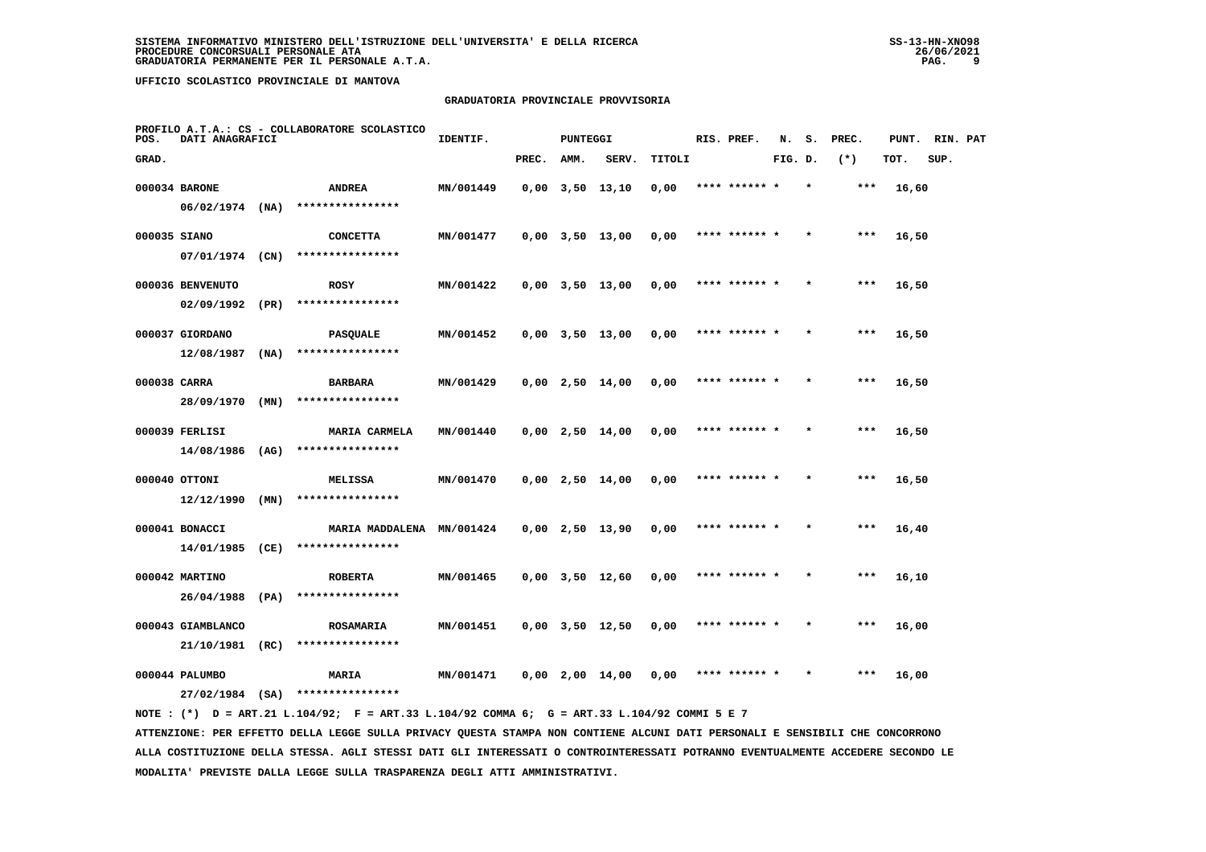# **GRADUATORIA PROVINCIALE PROVVISORIA**

| POS.         | DATI ANAGRAFICI                      |      | PROFILO A.T.A.: CS - COLLABORATORE SCOLASTICO | IDENTIF.  |       | <b>PUNTEGGI</b> |                       |        | RIS. PREF.    | N.      | s. | PREC. | PUNT. | RIN. PAT |  |
|--------------|--------------------------------------|------|-----------------------------------------------|-----------|-------|-----------------|-----------------------|--------|---------------|---------|----|-------|-------|----------|--|
| GRAD.        |                                      |      |                                               |           | PREC. | AMM.            | SERV.                 | TITOLI |               | FIG. D. |    | $(*)$ | TOT.  | SUP.     |  |
|              | 000034 BARONE                        |      | <b>ANDREA</b>                                 | MN/001449 |       |                 | $0,00$ $3,50$ $13,10$ | 0,00   | **** ****** * |         |    | ***   | 16,60 |          |  |
|              | $06/02/1974$ (NA)                    |      | ****************                              |           |       |                 |                       |        |               |         |    |       |       |          |  |
| 000035 SIANO |                                      |      | <b>CONCETTA</b>                               | MN/001477 |       |                 | $0,00$ $3,50$ $13,00$ | 0,00   | **** ****** * |         |    | $***$ | 16,50 |          |  |
|              | 07/01/1974 (CN)                      |      | ****************                              |           |       |                 |                       |        |               |         |    |       |       |          |  |
|              | 000036 BENVENUTO                     |      | <b>ROSY</b>                                   | MN/001422 |       |                 | $0,00$ $3,50$ $13,00$ | 0,00   | **** ****** * |         |    | $***$ | 16,50 |          |  |
|              | 02/09/1992                           | (PR) | ****************                              |           |       |                 |                       |        |               |         |    |       |       |          |  |
|              | 000037 GIORDANO                      |      | <b>PASQUALE</b>                               | MN/001452 |       |                 | $0,00$ $3,50$ $13,00$ | 0,00   | **** ****** * |         |    | $***$ | 16,50 |          |  |
|              | 12/08/1987                           | (NA) | ****************                              |           |       |                 |                       |        |               |         |    |       |       |          |  |
| 000038 CARRA |                                      |      | <b>BARBARA</b>                                | MN/001429 |       |                 | $0,00$ 2,50 14,00     | 0,00   | **** ****** * |         |    | $***$ | 16,50 |          |  |
|              | 28/09/1970                           | (MN) | ****************                              |           |       |                 |                       |        |               |         |    |       |       |          |  |
|              | 000039 FERLISI                       |      | <b>MARIA CARMELA</b>                          | MN/001440 |       |                 | $0,00$ 2,50 14,00     | 0,00   | **** ****** * |         |    | $***$ | 16,50 |          |  |
|              | 14/08/1986 (AG)                      |      | ****************                              |           |       |                 |                       |        |               |         |    |       |       |          |  |
|              | 000040 OTTONI                        |      | MELISSA<br>****************                   | MN/001470 |       |                 | $0,00$ 2,50 14,00     | 0.00   | **** ****** * |         |    | ***   | 16,50 |          |  |
|              | 12/12/1990                           | (MN) |                                               |           |       |                 |                       |        |               |         |    |       |       |          |  |
|              | 000041 BONACCI<br>14/01/1985 (CE)    |      | MARIA MADDALENA MN/001424<br>**************** |           |       |                 | $0,00$ 2,50 13,90     | 0,00   | **** ****** * |         |    | ***   | 16,40 |          |  |
|              |                                      |      |                                               |           |       |                 |                       |        |               |         |    |       |       |          |  |
|              | 000042 MARTINO<br>26/04/1988 (PA)    |      | <b>ROBERTA</b><br>****************            | MN/001465 |       |                 | $0,00$ $3,50$ $12,60$ | 0,00   | **** ****** * |         |    | ***   | 16,10 |          |  |
|              |                                      |      |                                               |           |       |                 |                       |        |               |         |    |       |       |          |  |
|              | 000043 GIAMBLANCO<br>21/10/1981 (RC) |      | <b>ROSAMARIA</b><br>****************          | MN/001451 |       |                 | $0,00$ $3,50$ $12,50$ | 0,00   | **** ****** * |         |    | ***   | 16,00 |          |  |
|              |                                      |      |                                               |           |       |                 |                       |        | **** ****** * |         |    | ***   |       |          |  |
|              | 000044 PALUMBO<br>$27/02/1984$ (SA)  |      | <b>MARIA</b><br>****************              | MN/001471 |       |                 | $0,00$ 2,00 14,00     | 0,00   |               |         |    |       | 16,00 |          |  |
|              |                                      |      |                                               |           |       |                 |                       |        |               |         |    |       |       |          |  |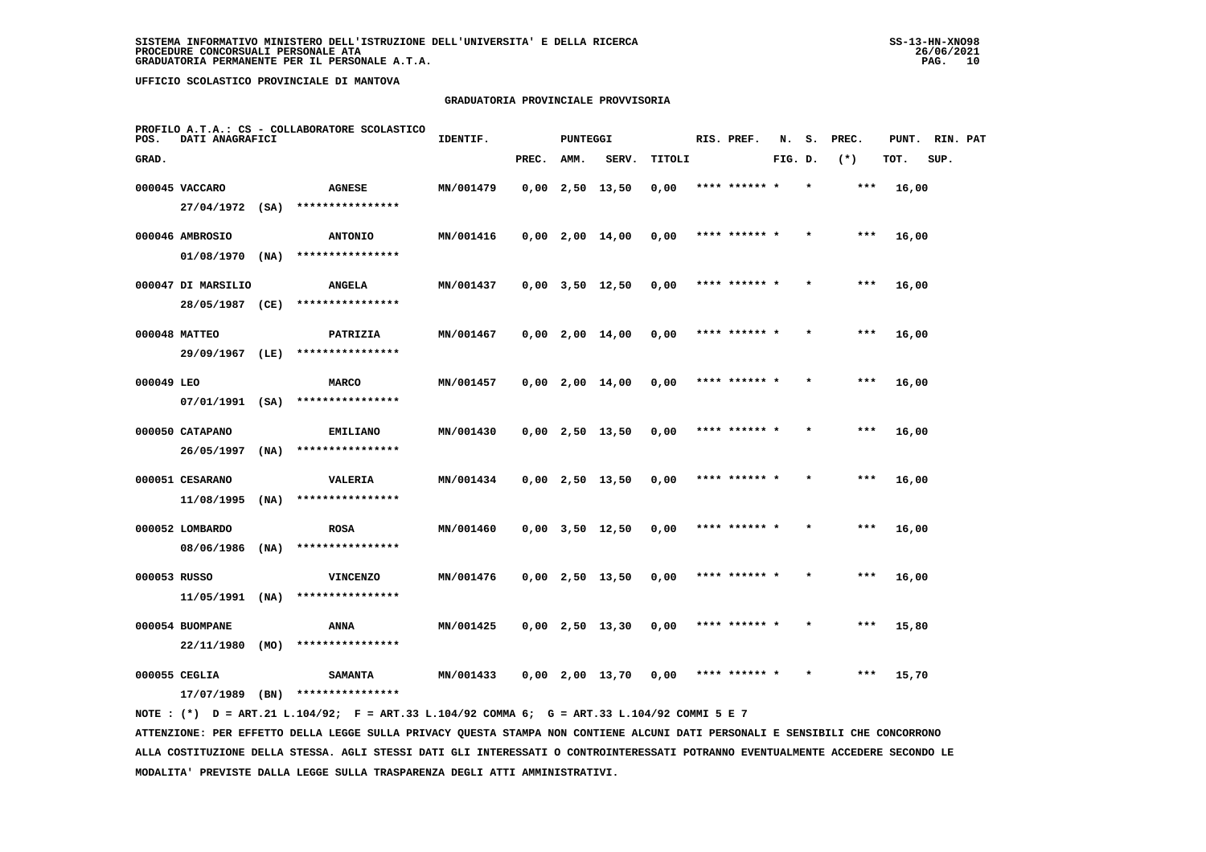# **GRADUATORIA PROVINCIALE PROVVISORIA**

| POS.         | DATI ANAGRAFICI    |      | PROFILO A.T.A.: CS - COLLABORATORE SCOLASTICO | IDENTIF.  |       | PUNTEGGI |                       |        | RIS. PREF.    | N.      | s.      | PREC. | PUNT. | RIN. PAT |  |
|--------------|--------------------|------|-----------------------------------------------|-----------|-------|----------|-----------------------|--------|---------------|---------|---------|-------|-------|----------|--|
| GRAD.        |                    |      |                                               |           | PREC. | AMM.     | SERV.                 | TITOLI |               | FIG. D. |         | $(*)$ | TOT.  | SUP.     |  |
|              | 000045 VACCARO     |      | <b>AGNESE</b>                                 | MN/001479 |       |          | $0,00$ 2,50 13,50     | 0,00   | **** ******   |         |         | $***$ | 16,00 |          |  |
|              | $27/04/1972$ (SA)  |      | ****************                              |           |       |          |                       |        |               |         |         |       |       |          |  |
|              | 000046 AMBROSIO    |      | <b>ANTONIO</b>                                | MN/001416 |       |          | $0,00$ 2,00 14,00     | 0,00   | **** ****** * |         |         | $***$ | 16,00 |          |  |
|              | 01/08/1970         | (NA) | ****************                              |           |       |          |                       |        |               |         |         |       |       |          |  |
|              | 000047 DI MARSILIO |      | <b>ANGELA</b>                                 | MN/001437 |       |          | $0,00$ $3,50$ $12,50$ | 0,00   | **** ****** * |         | $\star$ | $***$ | 16,00 |          |  |
|              | 28/05/1987 (CE)    |      | ****************                              |           |       |          |                       |        |               |         |         |       |       |          |  |
|              | 000048 MATTEO      |      | PATRIZIA                                      | MN/001467 |       |          | $0,00$ 2,00 14,00     | 0,00   | **** ****** * |         |         | $***$ | 16,00 |          |  |
|              | 29/09/1967 (LE)    |      | ****************                              |           |       |          |                       |        |               |         |         |       |       |          |  |
| 000049 LEO   |                    |      | <b>MARCO</b>                                  | MN/001457 |       |          | $0,00$ 2,00 14,00     | 0,00   | **** ****** * |         |         | $***$ | 16,00 |          |  |
|              | 07/01/1991 (SA)    |      | ****************                              |           |       |          |                       |        |               |         |         |       |       |          |  |
|              | 000050 CATAPANO    |      | <b>EMILIANO</b>                               | MN/001430 |       |          | $0,00$ 2,50 13,50     | 0,00   | **** ****** * |         |         | $***$ | 16,00 |          |  |
|              | 26/05/1997         | (NA) | ****************                              |           |       |          |                       |        |               |         |         |       |       |          |  |
|              | 000051 CESARANO    |      | VALERIA                                       | MN/001434 |       |          | $0,00$ 2,50 13,50     | 0,00   | **** ******   |         |         | ***   | 16,00 |          |  |
|              | 11/08/1995         | (NA) | ****************                              |           |       |          |                       |        |               |         |         |       |       |          |  |
|              | 000052 LOMBARDO    |      | <b>ROSA</b>                                   | MN/001460 |       |          | $0,00$ $3,50$ $12,50$ | 0,00   | **** ****** * |         |         | ***   | 16,00 |          |  |
|              | 08/06/1986         | (NA) | ****************                              |           |       |          |                       |        |               |         |         |       |       |          |  |
| 000053 RUSSO |                    |      | <b>VINCENZO</b>                               | MN/001476 |       |          | $0,00$ 2,50 13,50     | 0,00   | **** ****** * |         |         | $***$ | 16,00 |          |  |
|              | 11/05/1991         | (NA) | ****************                              |           |       |          |                       |        |               |         |         |       |       |          |  |
|              | 000054 BUOMPANE    |      | ANNA                                          | MN/001425 |       |          | $0,00$ 2,50 13,30     | 0,00   | **** ****** * |         |         | $***$ | 15,80 |          |  |
|              | 22/11/1980         | (MO) | ****************                              |           |       |          |                       |        |               |         |         |       |       |          |  |
|              | 000055 CEGLIA      |      | <b>SAMANTA</b>                                | MN/001433 |       |          | $0,00$ 2,00 13,70     | 0,00   | **** ****** * |         |         | ***   | 15,70 |          |  |
|              | 17/07/1989         | (BN) | ****************                              |           |       |          |                       |        |               |         |         |       |       |          |  |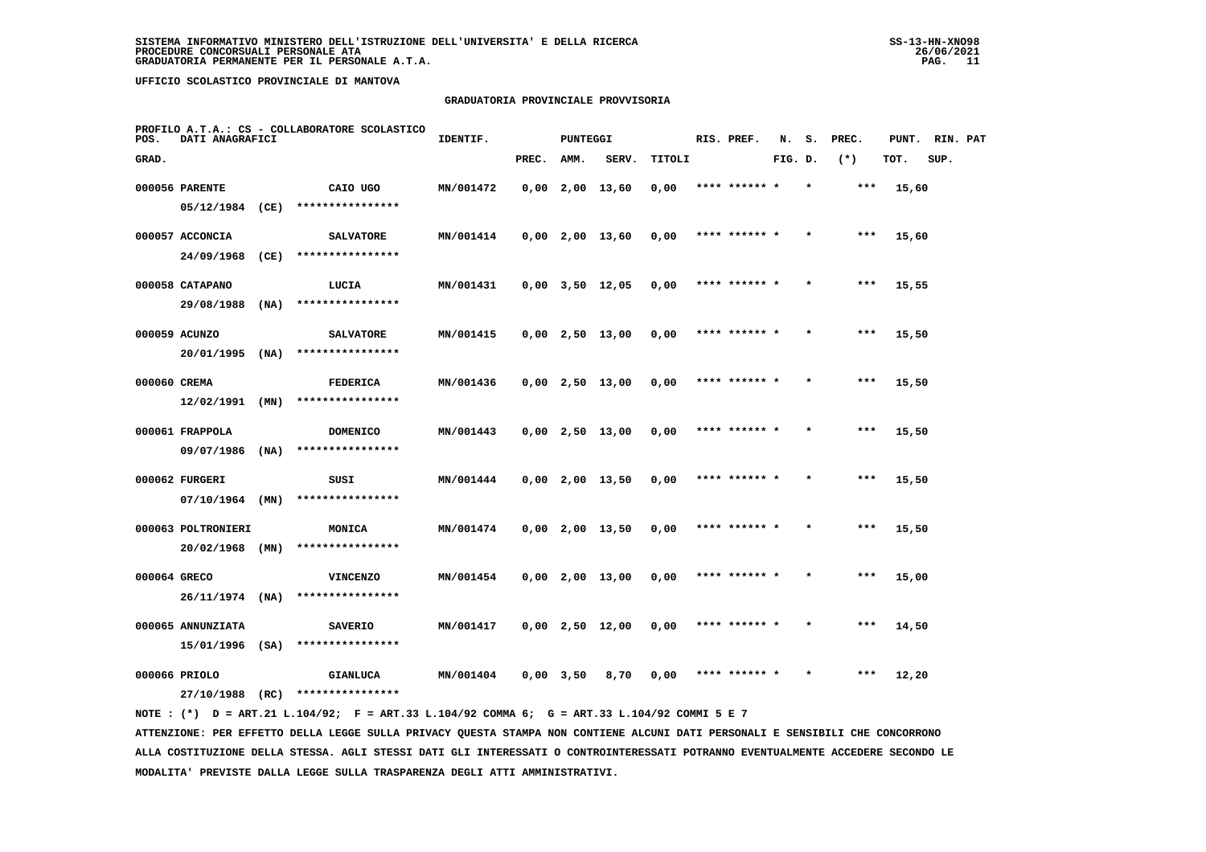# **GRADUATORIA PROVINCIALE PROVVISORIA**

| POS.         | DATI ANAGRAFICI    |      | PROFILO A.T.A.: CS - COLLABORATORE SCOLASTICO | IDENTIF.  |             | <b>PUNTEGGI</b> |                       |        | RIS. PREF.    | N.      | s.      | PREC. | PUNT. | RIN. PAT |  |
|--------------|--------------------|------|-----------------------------------------------|-----------|-------------|-----------------|-----------------------|--------|---------------|---------|---------|-------|-------|----------|--|
| GRAD.        |                    |      |                                               |           | PREC.       | AMM.            | SERV.                 | TITOLI |               | FIG. D. |         | $(*)$ | TOT.  | SUP.     |  |
|              | 000056 PARENTE     |      | CAIO UGO                                      | MN/001472 |             |                 | $0,00$ 2,00 13,60     | 0,00   | **** ****** * |         | $\star$ | ***   | 15,60 |          |  |
|              | 05/12/1984         | (CE) | ****************                              |           |             |                 |                       |        |               |         |         |       |       |          |  |
|              | 000057 ACCONCIA    |      | <b>SALVATORE</b>                              | MN/001414 |             |                 | $0,00$ 2,00 13,60     | 0,00   | **** ****** * |         |         | $***$ | 15,60 |          |  |
|              | 24/09/1968         | (CE) | ****************                              |           |             |                 |                       |        |               |         |         |       |       |          |  |
|              | 000058 CATAPANO    |      | LUCIA                                         | MN/001431 |             |                 | $0,00$ $3,50$ $12,05$ | 0,00   | **** ****** * |         |         | $***$ | 15,55 |          |  |
|              | 29/08/1988         | (NA) | ****************                              |           |             |                 |                       |        |               |         |         |       |       |          |  |
|              | 000059 ACUNZO      |      | <b>SALVATORE</b>                              | MN/001415 |             |                 | $0,00$ 2,50 13,00     | 0,00   | **** ****** * |         |         | $***$ | 15,50 |          |  |
|              | 20/01/1995         | (NA) | ****************                              |           |             |                 |                       |        |               |         |         |       |       |          |  |
| 000060 CREMA |                    |      | <b>FEDERICA</b>                               | MN/001436 |             |                 | $0,00$ 2,50 13,00     | 0,00   | **** ****** * |         |         | $***$ | 15,50 |          |  |
|              | $12/02/1991$ (MN)  |      | ****************                              |           |             |                 |                       |        |               |         |         |       |       |          |  |
|              | 000061 FRAPPOLA    |      | <b>DOMENICO</b>                               | MN/001443 |             |                 | $0,00$ 2,50 13,00     | 0,00   | **** ****** * |         |         | $***$ | 15,50 |          |  |
|              | 09/07/1986         | (NA) | ****************                              |           |             |                 |                       |        |               |         |         |       |       |          |  |
|              | 000062 FURGERI     |      | SUSI                                          | MN/001444 |             |                 | $0,00$ 2,00 13,50     | 0,00   | **** ****** * |         |         | $***$ | 15,50 |          |  |
|              | $07/10/1964$ (MN)  |      | ****************                              |           |             |                 |                       |        |               |         |         |       |       |          |  |
|              | 000063 POLTRONIERI |      | MONICA                                        | MN/001474 |             |                 | $0,00$ 2,00 13,50     | 0,00   | **** ****** * |         |         | ***   | 15,50 |          |  |
|              | 20/02/1968 (MN)    |      | ****************                              |           |             |                 |                       |        |               |         |         |       |       |          |  |
| 000064 GRECO |                    |      | <b>VINCENZO</b>                               | MN/001454 |             |                 | $0,00$ 2,00 13,00     | 0,00   | **** ****** * |         |         | $***$ | 15,00 |          |  |
|              | $26/11/1974$ (NA)  |      | ****************                              |           |             |                 |                       |        |               |         |         |       |       |          |  |
|              | 000065 ANNUNZIATA  |      | <b>SAVERIO</b>                                | MN/001417 |             |                 | $0,00$ 2,50 12,00     | 0,00   | **** ****** * |         |         | ***   | 14,50 |          |  |
|              | 15/01/1996         | (SA) | ****************                              |           |             |                 |                       |        |               |         |         |       |       |          |  |
|              | 000066 PRIOLO      |      | <b>GIANLUCA</b>                               | MN/001404 | $0,00$ 3,50 |                 | 8,70                  | 0,00   | **** ****** * |         |         | ***   | 12,20 |          |  |
|              | 27/10/1988         | (RC) | ****************                              |           |             |                 |                       |        |               |         |         |       |       |          |  |